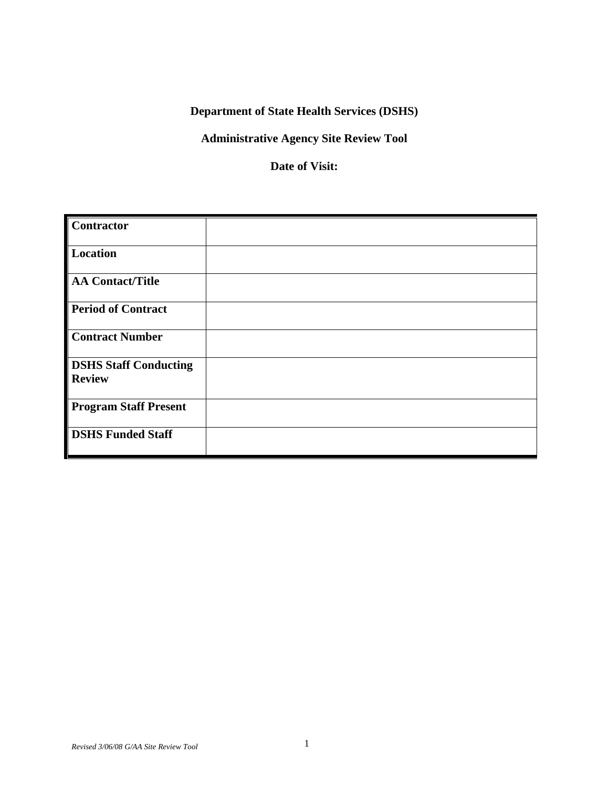# **Department of State Health Services (DSHS)**

### **Administrative Agency Site Review Tool**

#### **Date of Visit:**

| Contractor                   |  |
|------------------------------|--|
| Location                     |  |
| AA Contact/Title             |  |
| <b>Period of Contract</b>    |  |
| <b>Contract Number</b>       |  |
| <b>DSHS Staff Conducting</b> |  |
| <b>Review</b>                |  |
| <b>Program Staff Present</b> |  |
| <b>DSHS Funded Staff</b>     |  |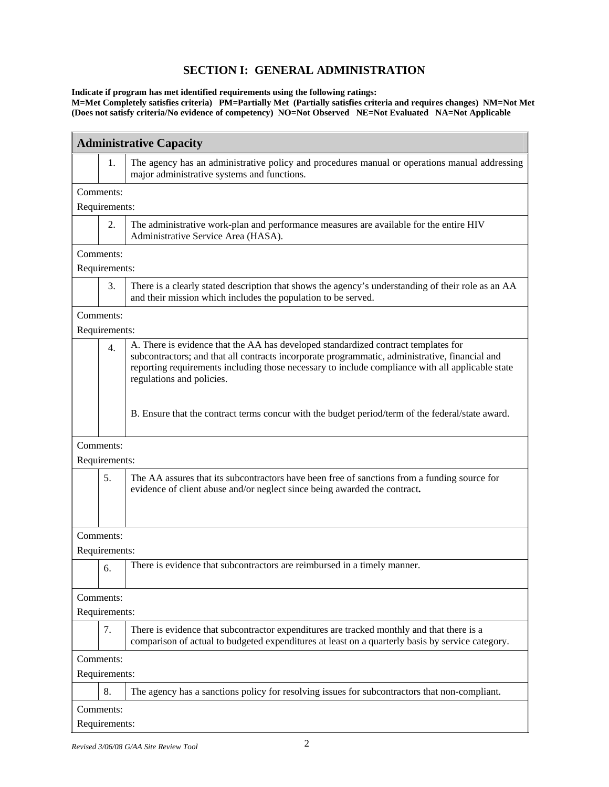#### **SECTION I: GENERAL ADMINISTRATION**

**Indicate if program has met identified requirements using the following ratings:** 

**M=Met Completely satisfies criteria) PM=Partially Met (Partially satisfies criteria and requires changes) NM=Not Met (Does not satisfy criteria/No evidence of competency) NO=Not Observed NE=Not Evaluated NA=Not Applicable** 

| <b>Administrative Capacity</b> |                                                                                                                                                                                                                                                                                                                       |  |
|--------------------------------|-----------------------------------------------------------------------------------------------------------------------------------------------------------------------------------------------------------------------------------------------------------------------------------------------------------------------|--|
| 1.                             | The agency has an administrative policy and procedures manual or operations manual addressing<br>major administrative systems and functions.                                                                                                                                                                          |  |
| Comments:                      |                                                                                                                                                                                                                                                                                                                       |  |
| Requirements:                  |                                                                                                                                                                                                                                                                                                                       |  |
| 2.                             | The administrative work-plan and performance measures are available for the entire HIV<br>Administrative Service Area (HASA).                                                                                                                                                                                         |  |
| Comments:                      |                                                                                                                                                                                                                                                                                                                       |  |
| Requirements:                  |                                                                                                                                                                                                                                                                                                                       |  |
| 3.                             | There is a clearly stated description that shows the agency's understanding of their role as an AA<br>and their mission which includes the population to be served.                                                                                                                                                   |  |
| Comments:                      |                                                                                                                                                                                                                                                                                                                       |  |
| Requirements:                  |                                                                                                                                                                                                                                                                                                                       |  |
| 4.                             | A. There is evidence that the AA has developed standardized contract templates for<br>subcontractors; and that all contracts incorporate programmatic, administrative, financial and<br>reporting requirements including those necessary to include compliance with all applicable state<br>regulations and policies. |  |
|                                | B. Ensure that the contract terms concur with the budget period/term of the federal/state award.                                                                                                                                                                                                                      |  |
| Comments:                      |                                                                                                                                                                                                                                                                                                                       |  |
| Requirements:                  |                                                                                                                                                                                                                                                                                                                       |  |
| 5.                             | The AA assures that its subcontractors have been free of sanctions from a funding source for<br>evidence of client abuse and/or neglect since being awarded the contract.                                                                                                                                             |  |
| Comments:                      |                                                                                                                                                                                                                                                                                                                       |  |
| Requirements:                  |                                                                                                                                                                                                                                                                                                                       |  |
| 6.                             | There is evidence that subcontractors are reimbursed in a timely manner.                                                                                                                                                                                                                                              |  |
| Comments:                      |                                                                                                                                                                                                                                                                                                                       |  |
| Requirements:                  |                                                                                                                                                                                                                                                                                                                       |  |
| 7.                             | There is evidence that subcontractor expenditures are tracked monthly and that there is a<br>comparison of actual to budgeted expenditures at least on a quarterly basis by service category.                                                                                                                         |  |
| Comments:                      |                                                                                                                                                                                                                                                                                                                       |  |
| Requirements:                  |                                                                                                                                                                                                                                                                                                                       |  |
| 8.                             | The agency has a sanctions policy for resolving issues for subcontractors that non-compliant.                                                                                                                                                                                                                         |  |
| Comments:                      |                                                                                                                                                                                                                                                                                                                       |  |
| Requirements:                  |                                                                                                                                                                                                                                                                                                                       |  |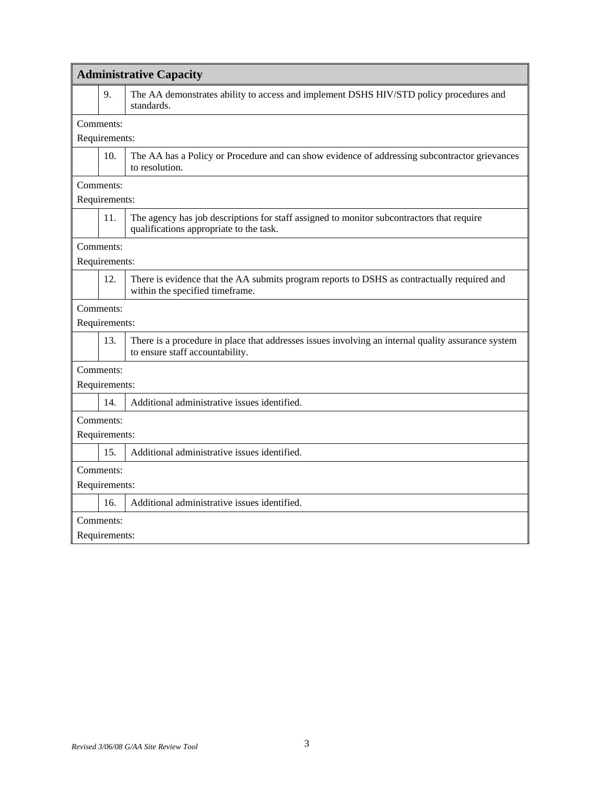| <b>Administrative Capacity</b> |                                                                                                                                       |  |
|--------------------------------|---------------------------------------------------------------------------------------------------------------------------------------|--|
| 9.                             | The AA demonstrates ability to access and implement DSHS HIV/STD policy procedures and<br>standards.                                  |  |
| Comments:                      |                                                                                                                                       |  |
| Requirements:                  |                                                                                                                                       |  |
| 10.                            | The AA has a Policy or Procedure and can show evidence of addressing subcontractor grievances<br>to resolution.                       |  |
| Comments:                      |                                                                                                                                       |  |
| Requirements:                  |                                                                                                                                       |  |
| 11.                            | The agency has job descriptions for staff assigned to monitor subcontractors that require<br>qualifications appropriate to the task.  |  |
| Comments:                      |                                                                                                                                       |  |
| Requirements:                  |                                                                                                                                       |  |
| 12.                            | There is evidence that the AA submits program reports to DSHS as contractually required and<br>within the specified timeframe.        |  |
| Comments:                      |                                                                                                                                       |  |
| Requirements:                  |                                                                                                                                       |  |
| 13.                            | There is a procedure in place that addresses issues involving an internal quality assurance system<br>to ensure staff accountability. |  |
| Comments:                      |                                                                                                                                       |  |
| Requirements:                  |                                                                                                                                       |  |
| 14.                            | Additional administrative issues identified.                                                                                          |  |
| Comments:                      |                                                                                                                                       |  |
| Requirements:                  |                                                                                                                                       |  |
| 15.                            | Additional administrative issues identified.                                                                                          |  |
| Comments:                      |                                                                                                                                       |  |
| Requirements:                  |                                                                                                                                       |  |
| 16.                            | Additional administrative issues identified.                                                                                          |  |
| Comments:                      |                                                                                                                                       |  |
| Requirements:                  |                                                                                                                                       |  |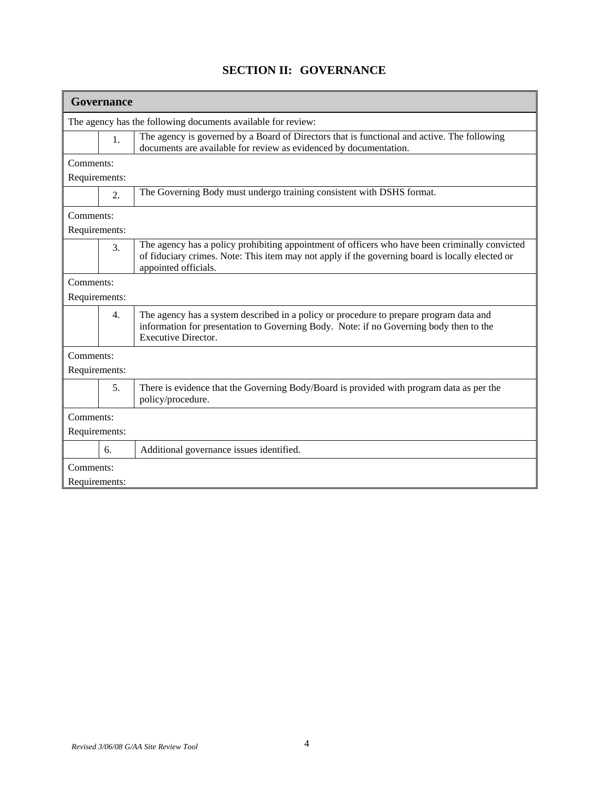| Governance       |                                                                                                                                                                                                                           |  |  |
|------------------|---------------------------------------------------------------------------------------------------------------------------------------------------------------------------------------------------------------------------|--|--|
|                  | The agency has the following documents available for review:                                                                                                                                                              |  |  |
| 1.               | The agency is governed by a Board of Directors that is functional and active. The following<br>documents are available for review as evidenced by documentation.                                                          |  |  |
| Comments:        |                                                                                                                                                                                                                           |  |  |
| Requirements:    |                                                                                                                                                                                                                           |  |  |
| 2.               | The Governing Body must undergo training consistent with DSHS format.                                                                                                                                                     |  |  |
| Comments:        |                                                                                                                                                                                                                           |  |  |
| Requirements:    |                                                                                                                                                                                                                           |  |  |
| 3.               | The agency has a policy prohibiting appointment of officers who have been criminally convicted<br>of fiduciary crimes. Note: This item may not apply if the governing board is locally elected or<br>appointed officials. |  |  |
| Comments:        |                                                                                                                                                                                                                           |  |  |
| Requirements:    |                                                                                                                                                                                                                           |  |  |
| $\overline{4}$ . | The agency has a system described in a policy or procedure to prepare program data and<br>information for presentation to Governing Body. Note: if no Governing body then to the<br><b>Executive Director.</b>            |  |  |
| Comments:        |                                                                                                                                                                                                                           |  |  |
| Requirements:    |                                                                                                                                                                                                                           |  |  |
| 5 <sub>1</sub>   | There is evidence that the Governing Body/Board is provided with program data as per the<br>policy/procedure.                                                                                                             |  |  |
| Comments:        |                                                                                                                                                                                                                           |  |  |
| Requirements:    |                                                                                                                                                                                                                           |  |  |
| 6.               | Additional governance issues identified.                                                                                                                                                                                  |  |  |
| Comments:        |                                                                                                                                                                                                                           |  |  |
| Requirements:    |                                                                                                                                                                                                                           |  |  |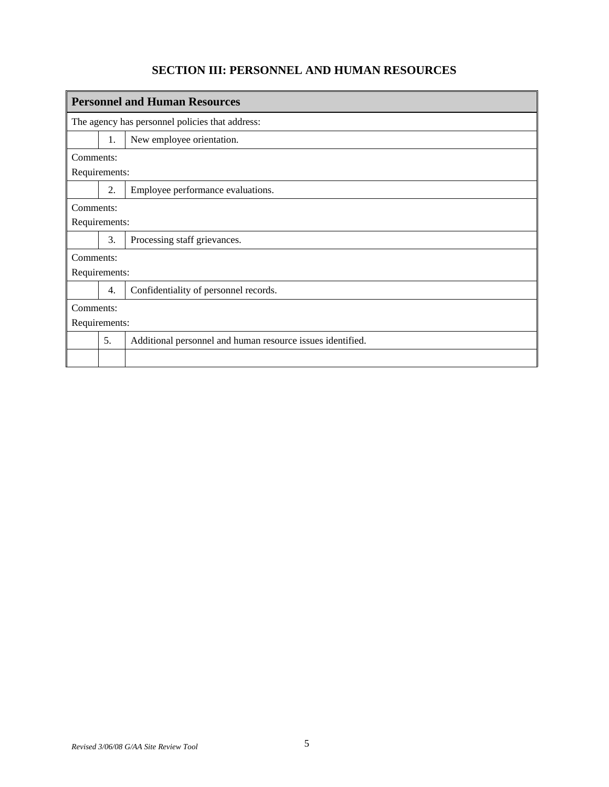## **SECTION III: PERSONNEL AND HUMAN RESOURCES**

|               | <b>Personnel and Human Resources</b> |                                                            |  |
|---------------|--------------------------------------|------------------------------------------------------------|--|
|               |                                      | The agency has personnel policies that address:            |  |
|               | 1.                                   | New employee orientation.                                  |  |
| Comments:     |                                      |                                                            |  |
| Requirements: |                                      |                                                            |  |
|               | 2.                                   | Employee performance evaluations.                          |  |
| Comments:     |                                      |                                                            |  |
| Requirements: |                                      |                                                            |  |
|               | 3.                                   | Processing staff grievances.                               |  |
| Comments:     |                                      |                                                            |  |
| Requirements: |                                      |                                                            |  |
|               | 4.                                   | Confidentiality of personnel records.                      |  |
| Comments:     |                                      |                                                            |  |
| Requirements: |                                      |                                                            |  |
|               | 5.                                   | Additional personnel and human resource issues identified. |  |
|               |                                      |                                                            |  |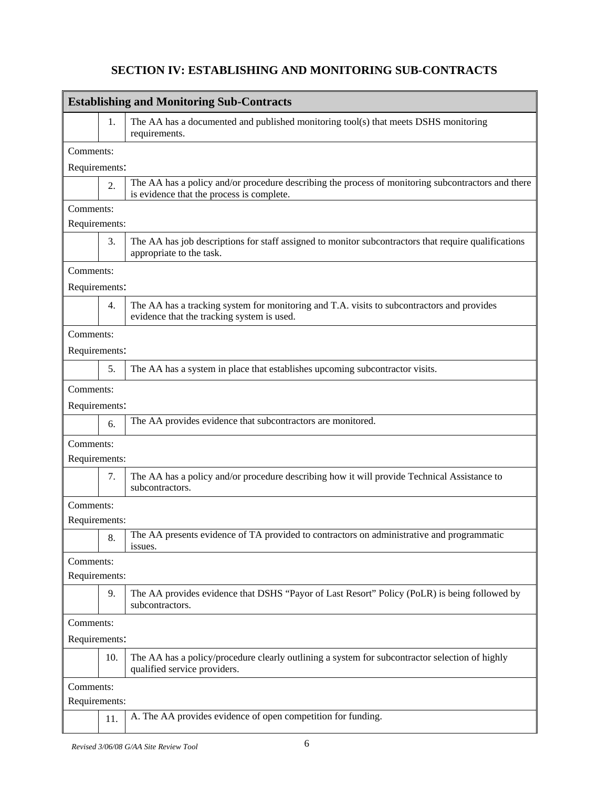## **SECTION IV: ESTABLISHING AND MONITORING SUB-CONTRACTS**

| <b>Establishing and Monitoring Sub-Contracts</b> |                  |                                                                                                                                                 |
|--------------------------------------------------|------------------|-------------------------------------------------------------------------------------------------------------------------------------------------|
|                                                  | 1.               | The AA has a documented and published monitoring tool(s) that meets DSHS monitoring<br>requirements.                                            |
| Comments:                                        |                  |                                                                                                                                                 |
| Requirements:                                    |                  |                                                                                                                                                 |
|                                                  | 2.               | The AA has a policy and/or procedure describing the process of monitoring subcontractors and there<br>is evidence that the process is complete. |
| Comments:                                        |                  |                                                                                                                                                 |
| Requirements:                                    |                  |                                                                                                                                                 |
|                                                  | 3.               | The AA has job descriptions for staff assigned to monitor subcontractors that require qualifications<br>appropriate to the task.                |
| Comments:                                        |                  |                                                                                                                                                 |
| Requirements:                                    |                  |                                                                                                                                                 |
|                                                  | $\overline{4}$ . | The AA has a tracking system for monitoring and T.A. visits to subcontractors and provides<br>evidence that the tracking system is used.        |
| Comments:                                        |                  |                                                                                                                                                 |
| Requirements:                                    |                  |                                                                                                                                                 |
|                                                  | 5.               | The AA has a system in place that establishes upcoming subcontractor visits.                                                                    |
| Comments:                                        |                  |                                                                                                                                                 |
| Requirements:                                    |                  |                                                                                                                                                 |
|                                                  | 6.               | The AA provides evidence that subcontractors are monitored.                                                                                     |
| Comments:                                        |                  |                                                                                                                                                 |
| Requirements:                                    |                  |                                                                                                                                                 |
|                                                  | 7.               | The AA has a policy and/or procedure describing how it will provide Technical Assistance to<br>subcontractors.                                  |
| Comments:                                        |                  |                                                                                                                                                 |
| Requirements:                                    |                  |                                                                                                                                                 |
|                                                  | 8.               | The AA presents evidence of TA provided to contractors on administrative and programmatic<br>issues.                                            |
| Comments:                                        |                  |                                                                                                                                                 |
| Requirements:                                    |                  |                                                                                                                                                 |
|                                                  | 9.               | The AA provides evidence that DSHS "Payor of Last Resort" Policy (PoLR) is being followed by<br>subcontractors.                                 |
| Comments:                                        |                  |                                                                                                                                                 |
| Requirements:                                    |                  |                                                                                                                                                 |
|                                                  | 10.              | The AA has a policy/procedure clearly outlining a system for subcontractor selection of highly<br>qualified service providers.                  |
| Comments:                                        |                  |                                                                                                                                                 |
| Requirements:                                    |                  |                                                                                                                                                 |
|                                                  | 11.              | A. The AA provides evidence of open competition for funding.                                                                                    |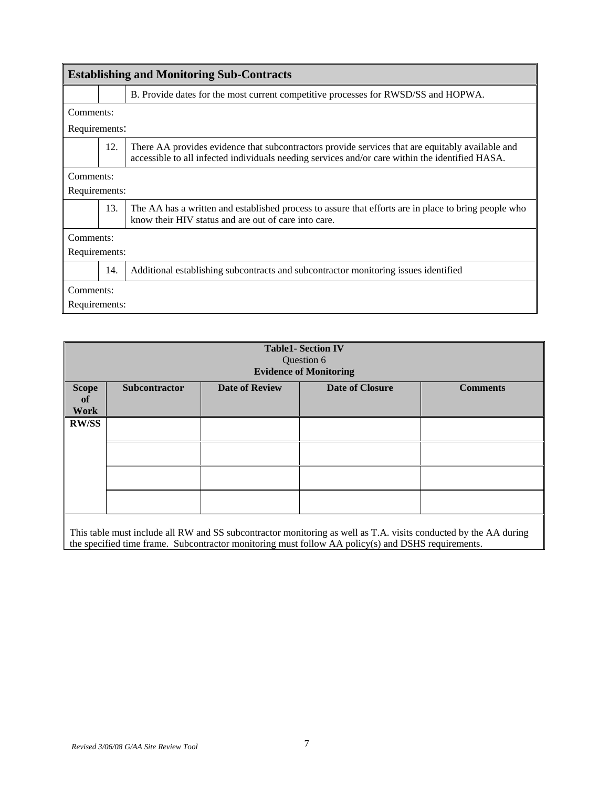| <b>Establishing and Monitoring Sub-Contracts</b> |     |                                                                                                                                                                                                     |
|--------------------------------------------------|-----|-----------------------------------------------------------------------------------------------------------------------------------------------------------------------------------------------------|
|                                                  |     | B. Provide dates for the most current competitive processes for RWSD/SS and HOPWA.                                                                                                                  |
| Comments:                                        |     |                                                                                                                                                                                                     |
| Requirements:                                    |     |                                                                                                                                                                                                     |
|                                                  | 12. | There AA provides evidence that subcontractors provide services that are equitably available and<br>accessible to all infected individuals needing services and/or care within the identified HASA. |
| Comments:                                        |     |                                                                                                                                                                                                     |
| Requirements:                                    |     |                                                                                                                                                                                                     |
|                                                  | 13. | The AA has a written and established process to assure that efforts are in place to bring people who<br>know their HIV status and are out of care into care.                                        |
| Comments:                                        |     |                                                                                                                                                                                                     |
| Requirements:                                    |     |                                                                                                                                                                                                     |
|                                                  | 14. | Additional establishing subcontracts and subcontractor monitoring issues identified                                                                                                                 |
| Comments:                                        |     |                                                                                                                                                                                                     |
| Requirements:                                    |     |                                                                                                                                                                                                     |

|              |               |                       | <b>Table1- Section IV</b><br>Question 6<br><b>Evidence of Monitoring</b> |                 |
|--------------|---------------|-----------------------|--------------------------------------------------------------------------|-----------------|
| <b>Scope</b> | Subcontractor | <b>Date of Review</b> | <b>Date of Closure</b>                                                   | <b>Comments</b> |
| of           |               |                       |                                                                          |                 |
| <b>Work</b>  |               |                       |                                                                          |                 |
|              |               |                       |                                                                          |                 |
| <b>RW/SS</b> |               |                       |                                                                          |                 |
|              |               |                       |                                                                          |                 |
|              |               |                       |                                                                          |                 |
|              |               |                       |                                                                          |                 |
|              |               |                       |                                                                          |                 |
|              |               |                       |                                                                          |                 |
|              |               |                       |                                                                          |                 |
|              |               |                       |                                                                          |                 |
|              |               |                       |                                                                          |                 |

This table must include all RW and SS subcontractor monitoring as well as T.A. visits conducted by the AA during the specified time frame. Subcontractor monitoring must follow AA policy(s) and DSHS requirements.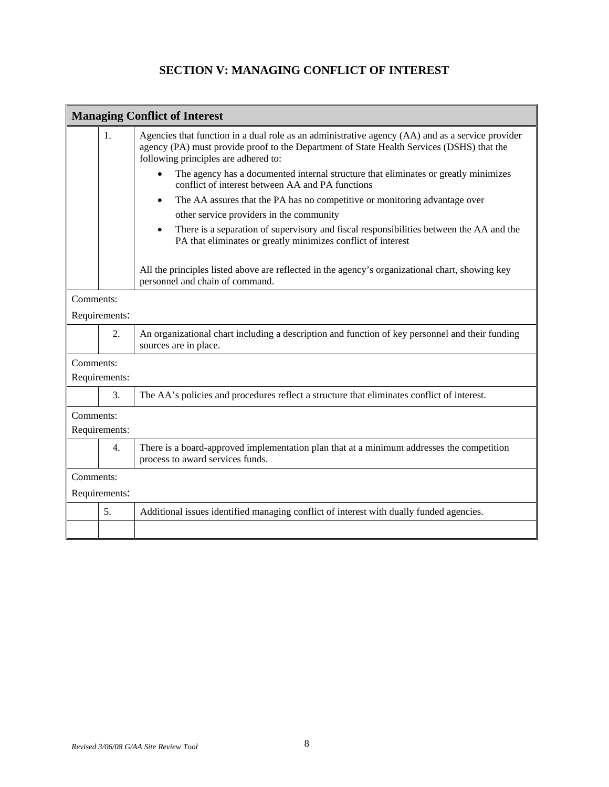#### **SECTION V: MANAGING CONFLICT OF INTEREST**

| <b>Managing Conflict of Interest</b> |               |                                                                                                                                                                                                                                       |
|--------------------------------------|---------------|---------------------------------------------------------------------------------------------------------------------------------------------------------------------------------------------------------------------------------------|
|                                      | 1.            | Agencies that function in a dual role as an administrative agency (AA) and as a service provider<br>agency (PA) must provide proof to the Department of State Health Services (DSHS) that the<br>following principles are adhered to: |
|                                      |               | The agency has a documented internal structure that eliminates or greatly minimizes<br>conflict of interest between AA and PA functions                                                                                               |
|                                      |               | The AA assures that the PA has no competitive or monitoring advantage over<br>$\bullet$                                                                                                                                               |
|                                      |               | other service providers in the community                                                                                                                                                                                              |
|                                      |               | There is a separation of supervisory and fiscal responsibilities between the AA and the<br>$\bullet$<br>PA that eliminates or greatly minimizes conflict of interest                                                                  |
|                                      |               | All the principles listed above are reflected in the agency's organizational chart, showing key<br>personnel and chain of command.                                                                                                    |
| Comments:                            |               |                                                                                                                                                                                                                                       |
|                                      | Requirements: |                                                                                                                                                                                                                                       |
|                                      | 2.            | An organizational chart including a description and function of key personnel and their funding<br>sources are in place.                                                                                                              |
| Comments:                            |               |                                                                                                                                                                                                                                       |
|                                      | Requirements: |                                                                                                                                                                                                                                       |
|                                      | 3.            | The AA's policies and procedures reflect a structure that eliminates conflict of interest.                                                                                                                                            |
| Comments:                            |               |                                                                                                                                                                                                                                       |
|                                      | Requirements: |                                                                                                                                                                                                                                       |
|                                      | 4.            | There is a board-approved implementation plan that at a minimum addresses the competition<br>process to award services funds.                                                                                                         |
| Comments:                            |               |                                                                                                                                                                                                                                       |
|                                      | Requirements: |                                                                                                                                                                                                                                       |
|                                      | 5.            | Additional issues identified managing conflict of interest with dually funded agencies.                                                                                                                                               |
|                                      |               |                                                                                                                                                                                                                                       |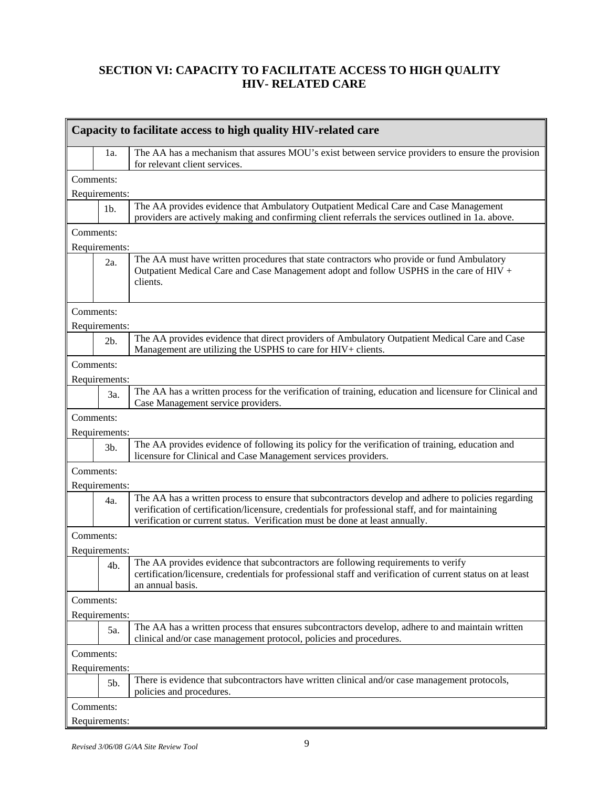#### **SECTION VI: CAPACITY TO FACILITATE ACCESS TO HIGH QUALITY HIV- RELATED CARE**

|           | Capacity to facilitate access to high quality HIV-related care |                                                                                                                                                                                                                                                                                         |  |
|-----------|----------------------------------------------------------------|-----------------------------------------------------------------------------------------------------------------------------------------------------------------------------------------------------------------------------------------------------------------------------------------|--|
|           | 1a.                                                            | The AA has a mechanism that assures MOU's exist between service providers to ensure the provision<br>for relevant client services.                                                                                                                                                      |  |
| Comments: |                                                                |                                                                                                                                                                                                                                                                                         |  |
|           | Requirements:                                                  |                                                                                                                                                                                                                                                                                         |  |
|           | 1 <sub>b</sub>                                                 | The AA provides evidence that Ambulatory Outpatient Medical Care and Case Management<br>providers are actively making and confirming client referrals the services outlined in 1a. above.                                                                                               |  |
| Comments: |                                                                |                                                                                                                                                                                                                                                                                         |  |
|           | Requirements:                                                  |                                                                                                                                                                                                                                                                                         |  |
|           | 2a.                                                            | The AA must have written procedures that state contractors who provide or fund Ambulatory<br>Outpatient Medical Care and Case Management adopt and follow USPHS in the care of HIV +<br>clients.                                                                                        |  |
| Comments: |                                                                |                                                                                                                                                                                                                                                                                         |  |
|           | Requirements:                                                  |                                                                                                                                                                                                                                                                                         |  |
|           | $2b$ .                                                         | The AA provides evidence that direct providers of Ambulatory Outpatient Medical Care and Case<br>Management are utilizing the USPHS to care for HIV+ clients.                                                                                                                           |  |
| Comments: |                                                                |                                                                                                                                                                                                                                                                                         |  |
|           | Requirements:                                                  |                                                                                                                                                                                                                                                                                         |  |
|           | 3a.                                                            | The AA has a written process for the verification of training, education and licensure for Clinical and<br>Case Management service providers.                                                                                                                                           |  |
| Comments: |                                                                |                                                                                                                                                                                                                                                                                         |  |
|           | Requirements:                                                  |                                                                                                                                                                                                                                                                                         |  |
|           | 3b.                                                            | The AA provides evidence of following its policy for the verification of training, education and<br>licensure for Clinical and Case Management services providers.                                                                                                                      |  |
| Comments: |                                                                |                                                                                                                                                                                                                                                                                         |  |
|           | Requirements:                                                  |                                                                                                                                                                                                                                                                                         |  |
|           | 4a.                                                            | The AA has a written process to ensure that subcontractors develop and adhere to policies regarding<br>verification of certification/licensure, credentials for professional staff, and for maintaining<br>verification or current status. Verification must be done at least annually. |  |
| Comments: |                                                                |                                                                                                                                                                                                                                                                                         |  |
|           | Requirements:                                                  |                                                                                                                                                                                                                                                                                         |  |
|           | 4b.                                                            | The AA provides evidence that subcontractors are following requirements to verify<br>certification/licensure, credentials for professional staff and verification of current status on at least<br>an annual basis.                                                                     |  |
| Comments: |                                                                |                                                                                                                                                                                                                                                                                         |  |
|           | Requirements:                                                  |                                                                                                                                                                                                                                                                                         |  |
|           | 5a.                                                            | The AA has a written process that ensures subcontractors develop, adhere to and maintain written<br>clinical and/or case management protocol, policies and procedures.                                                                                                                  |  |
| Comments: |                                                                |                                                                                                                                                                                                                                                                                         |  |
|           | Requirements:                                                  |                                                                                                                                                                                                                                                                                         |  |
|           | 5b.                                                            | There is evidence that subcontractors have written clinical and/or case management protocols,<br>policies and procedures.                                                                                                                                                               |  |
| Comments: |                                                                |                                                                                                                                                                                                                                                                                         |  |
|           | Requirements:                                                  |                                                                                                                                                                                                                                                                                         |  |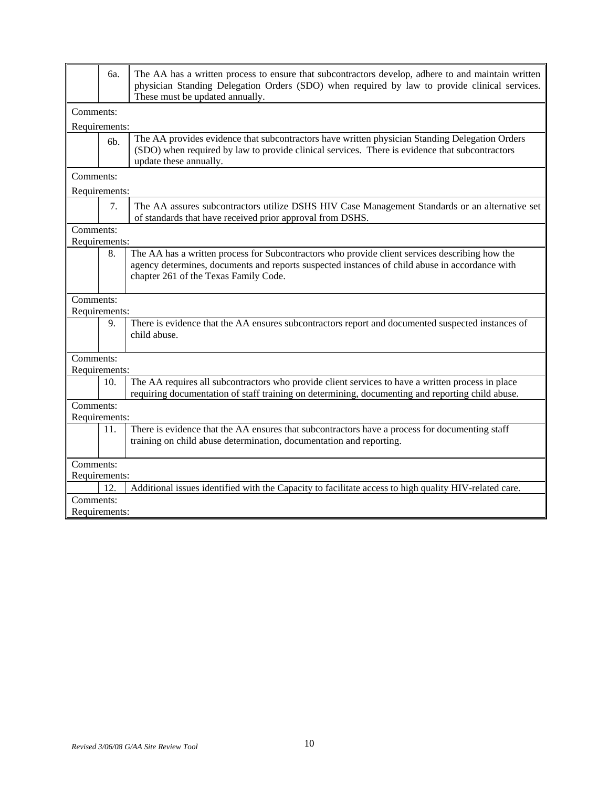|           | 6a.            | The AA has a written process to ensure that subcontractors develop, adhere to and maintain written<br>physician Standing Delegation Orders (SDO) when required by law to provide clinical services.<br>These must be updated annually.    |
|-----------|----------------|-------------------------------------------------------------------------------------------------------------------------------------------------------------------------------------------------------------------------------------------|
| Comments: |                |                                                                                                                                                                                                                                           |
|           | Requirements:  |                                                                                                                                                                                                                                           |
|           | 6 <sub>b</sub> | The AA provides evidence that subcontractors have written physician Standing Delegation Orders<br>(SDO) when required by law to provide clinical services. There is evidence that subcontractors<br>update these annually.                |
| Comments: |                |                                                                                                                                                                                                                                           |
|           | Requirements:  |                                                                                                                                                                                                                                           |
|           | 7.             | The AA assures subcontractors utilize DSHS HIV Case Management Standards or an alternative set<br>of standards that have received prior approval from DSHS.                                                                               |
| Comments: |                |                                                                                                                                                                                                                                           |
|           | Requirements:  |                                                                                                                                                                                                                                           |
|           | 8.             | The AA has a written process for Subcontractors who provide client services describing how the<br>agency determines, documents and reports suspected instances of child abuse in accordance with<br>chapter 261 of the Texas Family Code. |
| Comments: |                |                                                                                                                                                                                                                                           |
|           | Requirements:  |                                                                                                                                                                                                                                           |
|           | 9.             | There is evidence that the AA ensures subcontractors report and documented suspected instances of<br>child abuse.                                                                                                                         |
| Comments: |                |                                                                                                                                                                                                                                           |
|           | Requirements:  |                                                                                                                                                                                                                                           |
|           | 10.            | The AA requires all subcontractors who provide client services to have a written process in place<br>requiring documentation of staff training on determining, documenting and reporting child abuse.                                     |
| Comments: |                |                                                                                                                                                                                                                                           |
|           | Requirements:  |                                                                                                                                                                                                                                           |
|           | 11.            | There is evidence that the AA ensures that subcontractors have a process for documenting staff<br>training on child abuse determination, documentation and reporting.                                                                     |
| Comments: |                |                                                                                                                                                                                                                                           |
|           | Requirements:  |                                                                                                                                                                                                                                           |
|           | 12.            | Additional issues identified with the Capacity to facilitate access to high quality HIV-related care.                                                                                                                                     |
| Comments: |                |                                                                                                                                                                                                                                           |
|           | Requirements:  |                                                                                                                                                                                                                                           |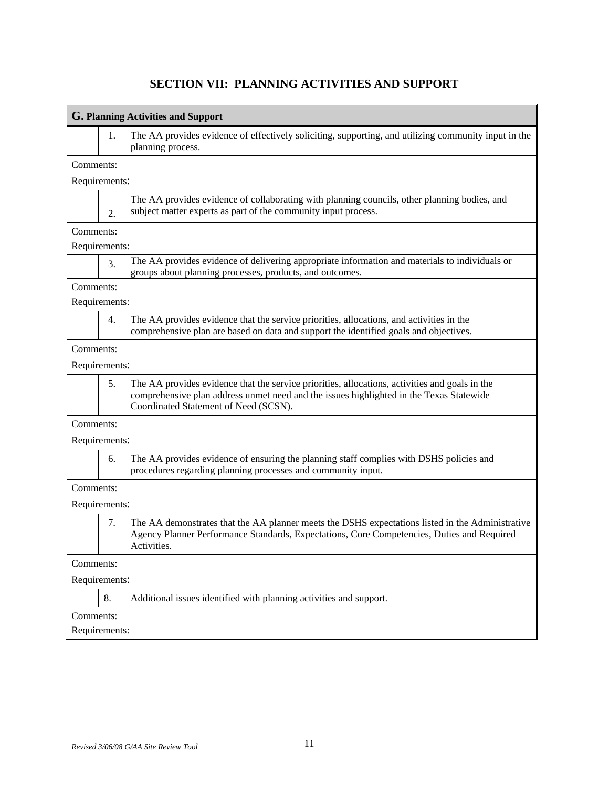## **G. Planning Activities and Support** 1. The AA provides evidence of effectively soliciting, supporting, and utilizing community input in the planning process. Comments: Requirements:  $\mathcal{L}$ The AA provides evidence of collaborating with planning councils, other planning bodies, and subject matter experts as part of the community input process. Comments: Requirements: 3. The AA provides evidence of delivering appropriate information and materials to individuals or groups about planning processes, products, and outcomes. Comments: Requirements: 4. The AA provides evidence that the service priorities, allocations, and activities in the comprehensive plan are based on data and support the identified goals and objectives. Comments: Requirements: 5. The AA provides evidence that the service priorities, allocations, activities and goals in the comprehensive plan address unmet need and the issues highlighted in the Texas Statewide Coordinated Statement of Need (SCSN). Comments: Requirements: 6. The AA provides evidence of ensuring the planning staff complies with DSHS policies and procedures regarding planning processes and community input. Comments: Requirements: 7. The AA demonstrates that the AA planner meets the DSHS expectations listed in the Administrative Agency Planner Performance Standards, Expectations, Core Competencies, Duties and Required Activities. Comments: Requirements: 8. Additional issues identified with planning activities and support. Comments: Requirements:

#### **SECTION VII: PLANNING ACTIVITIES AND SUPPORT**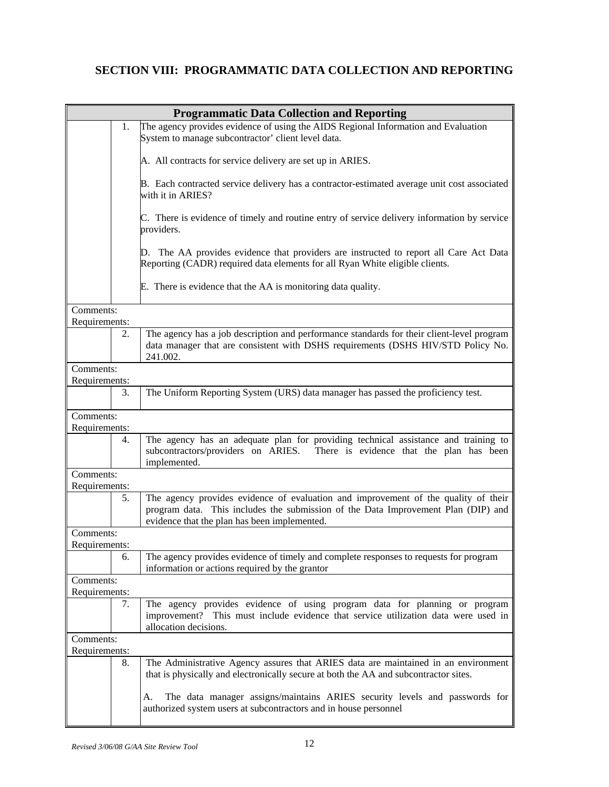### **SECTION VIII: PROGRAMMATIC DATA COLLECTION AND REPORTING**

| <b>Programmatic Data Collection and Reporting</b> |                            |                                                                                                                                                                                                                         |  |  |  |  |
|---------------------------------------------------|----------------------------|-------------------------------------------------------------------------------------------------------------------------------------------------------------------------------------------------------------------------|--|--|--|--|
|                                                   | 1.                         | The agency provides evidence of using the AIDS Regional Information and Evaluation                                                                                                                                      |  |  |  |  |
|                                                   |                            | System to manage subcontractor' client level data.                                                                                                                                                                      |  |  |  |  |
|                                                   |                            | A. All contracts for service delivery are set up in ARIES.                                                                                                                                                              |  |  |  |  |
|                                                   |                            | B. Each contracted service delivery has a contractor-estimated average unit cost associated<br>with it in ARIES?                                                                                                        |  |  |  |  |
|                                                   |                            | C. There is evidence of timely and routine entry of service delivery information by service<br>providers.                                                                                                               |  |  |  |  |
|                                                   |                            | D. The AA provides evidence that providers are instructed to report all Care Act Data<br>Reporting (CADR) required data elements for all Ryan White eligible clients.                                                   |  |  |  |  |
|                                                   |                            | E. There is evidence that the AA is monitoring data quality.                                                                                                                                                            |  |  |  |  |
| Comments:                                         |                            |                                                                                                                                                                                                                         |  |  |  |  |
| Requirements:                                     |                            |                                                                                                                                                                                                                         |  |  |  |  |
|                                                   | 2.                         | The agency has a job description and performance standards for their client-level program<br>data manager that are consistent with DSHS requirements (DSHS HIV/STD Policy No.<br>241.002.                               |  |  |  |  |
| Comments:<br>Requirements:                        |                            |                                                                                                                                                                                                                         |  |  |  |  |
|                                                   | 3.                         | The Uniform Reporting System (URS) data manager has passed the proficiency test.                                                                                                                                        |  |  |  |  |
| Comments:                                         |                            |                                                                                                                                                                                                                         |  |  |  |  |
| Requirements:                                     |                            |                                                                                                                                                                                                                         |  |  |  |  |
|                                                   | 4.                         | The agency has an adequate plan for providing technical assistance and training to<br>subcontractors/providers on ARIES. There is evidence that the plan has been<br>implemented.                                       |  |  |  |  |
| Comments:<br>Requirements:                        |                            |                                                                                                                                                                                                                         |  |  |  |  |
|                                                   | 5.                         | The agency provides evidence of evaluation and improvement of the quality of their<br>program data. This includes the submission of the Data Improvement Plan (DIP) and<br>evidence that the plan has been implemented. |  |  |  |  |
| Comments:                                         |                            |                                                                                                                                                                                                                         |  |  |  |  |
| Requirements:                                     |                            |                                                                                                                                                                                                                         |  |  |  |  |
|                                                   | 6.                         | The agency provides evidence of timely and complete responses to requests for program<br>information or actions required by the grantor                                                                                 |  |  |  |  |
|                                                   | Comments:<br>Requirements: |                                                                                                                                                                                                                         |  |  |  |  |
|                                                   | 7.                         | The agency provides evidence of using program data for planning or program<br>improvement? This must include evidence that service utilization data were used in<br>allocation decisions.                               |  |  |  |  |
|                                                   | Comments:                  |                                                                                                                                                                                                                         |  |  |  |  |
| Requirements:                                     |                            |                                                                                                                                                                                                                         |  |  |  |  |
|                                                   | 8.                         | The Administrative Agency assures that ARIES data are maintained in an environment<br>that is physically and electronically secure at both the AA and subcontractor sites.                                              |  |  |  |  |
|                                                   |                            | The data manager assigns/maintains ARIES security levels and passwords for<br>A.<br>authorized system users at subcontractors and in house personnel                                                                    |  |  |  |  |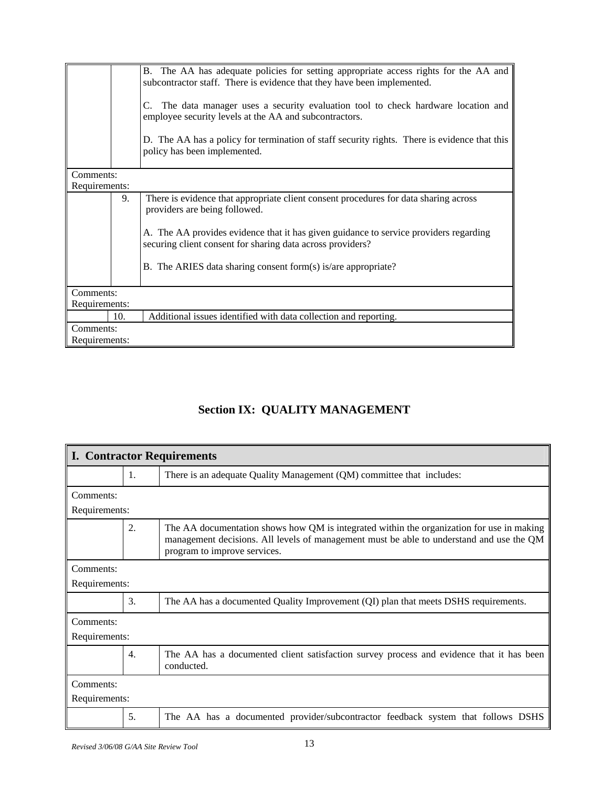|               |           | B. The AA has adequate policies for setting appropriate access rights for the AA and<br>subcontractor staff. There is evidence that they have been implemented.<br>The data manager uses a security evaluation tool to check hardware location and<br>employee security levels at the AA and subcontractors.<br>D. The AA has a policy for termination of staff security rights. There is evidence that this<br>policy has been implemented. |  |  |  |  |
|---------------|-----------|----------------------------------------------------------------------------------------------------------------------------------------------------------------------------------------------------------------------------------------------------------------------------------------------------------------------------------------------------------------------------------------------------------------------------------------------|--|--|--|--|
| Comments:     |           |                                                                                                                                                                                                                                                                                                                                                                                                                                              |  |  |  |  |
| Requirements: |           |                                                                                                                                                                                                                                                                                                                                                                                                                                              |  |  |  |  |
|               | 9.        | There is evidence that appropriate client consent procedures for data sharing across<br>providers are being followed.                                                                                                                                                                                                                                                                                                                        |  |  |  |  |
|               |           | A. The AA provides evidence that it has given guidance to service providers regarding<br>securing client consent for sharing data across providers?                                                                                                                                                                                                                                                                                          |  |  |  |  |
|               |           | B. The ARIES data sharing consent form(s) is/are appropriate?                                                                                                                                                                                                                                                                                                                                                                                |  |  |  |  |
|               | Comments: |                                                                                                                                                                                                                                                                                                                                                                                                                                              |  |  |  |  |
| Requirements: |           |                                                                                                                                                                                                                                                                                                                                                                                                                                              |  |  |  |  |
|               | 10.       | Additional issues identified with data collection and reporting.                                                                                                                                                                                                                                                                                                                                                                             |  |  |  |  |
| Comments:     |           |                                                                                                                                                                                                                                                                                                                                                                                                                                              |  |  |  |  |
| Requirements: |           |                                                                                                                                                                                                                                                                                                                                                                                                                                              |  |  |  |  |

# **Section IX: QUALITY MANAGEMENT**

| <b>I. Contractor Requirements</b> |    |                                                                                                                                                                                                                       |  |  |
|-----------------------------------|----|-----------------------------------------------------------------------------------------------------------------------------------------------------------------------------------------------------------------------|--|--|
|                                   | 1. | There is an adequate Quality Management (QM) committee that includes:                                                                                                                                                 |  |  |
| Comments:                         |    |                                                                                                                                                                                                                       |  |  |
| Requirements:                     |    |                                                                                                                                                                                                                       |  |  |
|                                   | 2. | The AA documentation shows how QM is integrated within the organization for use in making<br>management decisions. All levels of management must be able to understand and use the QM<br>program to improve services. |  |  |
| Comments:                         |    |                                                                                                                                                                                                                       |  |  |
| Requirements:                     |    |                                                                                                                                                                                                                       |  |  |
|                                   | 3. | The AA has a documented Quality Improvement (QI) plan that meets DSHS requirements.                                                                                                                                   |  |  |
| Comments:                         |    |                                                                                                                                                                                                                       |  |  |
| Requirements:                     |    |                                                                                                                                                                                                                       |  |  |
|                                   | 4. | The AA has a documented client satisfaction survey process and evidence that it has been<br>conducted.                                                                                                                |  |  |
| Comments:                         |    |                                                                                                                                                                                                                       |  |  |
| Requirements:                     |    |                                                                                                                                                                                                                       |  |  |
|                                   | 5. | The AA has a documented provider/subcontractor feedback system that follows DSHS                                                                                                                                      |  |  |